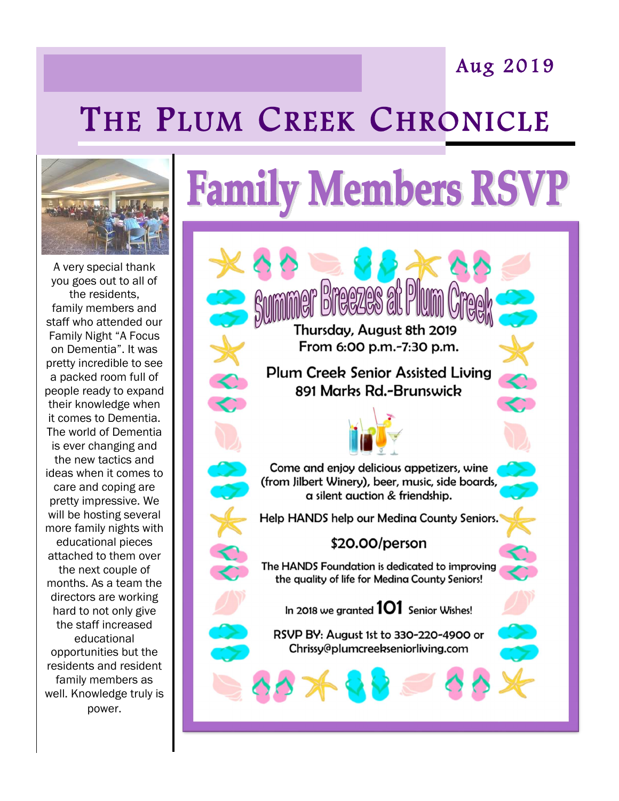## Aug 2019

## THE PLUM CREEK CHRONICLE



A very special thank you goes out to all of the residents, family members and staff who attended our Family Night "A Focus on Dementia". It was pretty incredible to see a packed room full of people ready to expand their knowledge when it comes to Dementia. The world of Dementia is ever changing and the new tactics and ideas when it comes to care and coping are pretty impressive. We will be hosting several more family nights with educational pieces attached to them over the next couple of months. As a team the directors are working hard to not only give the staff increased educational opportunities but the residents and resident family members as well. Knowledge truly is power.

## **Family Members RSVP**

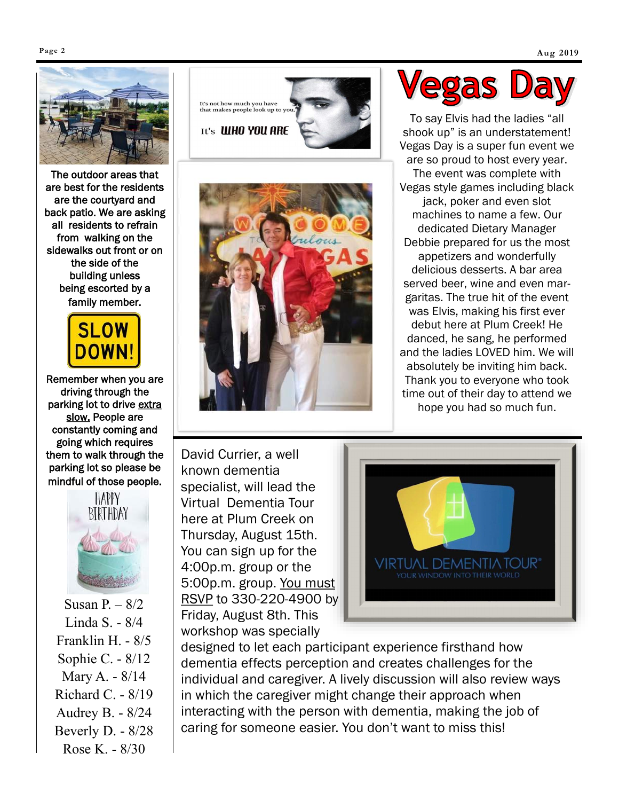

The outdoor areas that are best for the residents are the courtyard and back patio. We are asking all residents to refrain from walking on the sidewalks out front or on the side of the building unless being escorted by a family member.



Remember when you are driving through the parking lot to drive extra slow. People are constantly coming and going which requires them to walk through the parking lot so please be mindful of those people.



Susan  $P_1 - 8/2$ Linda S. - 8/4 Franklin H. - 8/5 Sophie C. - 8/12 Mary A. - 8/14 Richard C. - 8/19 Audrey B. - 8/24 Beverly D. - 8/28 Rose K. - 8/30





David Currier, a well known dementia specialist, will lead the Virtual Dementia Tour here at Plum Creek on Thursday, August 15th. You can sign up for the 4:00p.m. group or the 5:00p.m. group. You must RSVP to 330-220-4900 by Friday, August 8th. This workshop was specially



To say Elvis had the ladies "all shook up" is an understatement! Vegas Day is a super fun event we are so proud to host every year. The event was complete with Vegas style games including black jack, poker and even slot machines to name a few. Our dedicated Dietary Manager Debbie prepared for us the most appetizers and wonderfully delicious desserts. A bar area served beer, wine and even margaritas. The true hit of the event was Elvis, making his first ever debut here at Plum Creek! He danced, he sang, he performed and the ladies LOVED him. We will absolutely be inviting him back. Thank you to everyone who took time out of their day to attend we hope you had so much fun.



designed to let each participant experience firsthand how dementia effects perception and creates challenges for the individual and caregiver. A lively discussion will also review ways in which the caregiver might change their approach when interacting with the person with dementia, making the job of caring for someone easier. You don't want to miss this!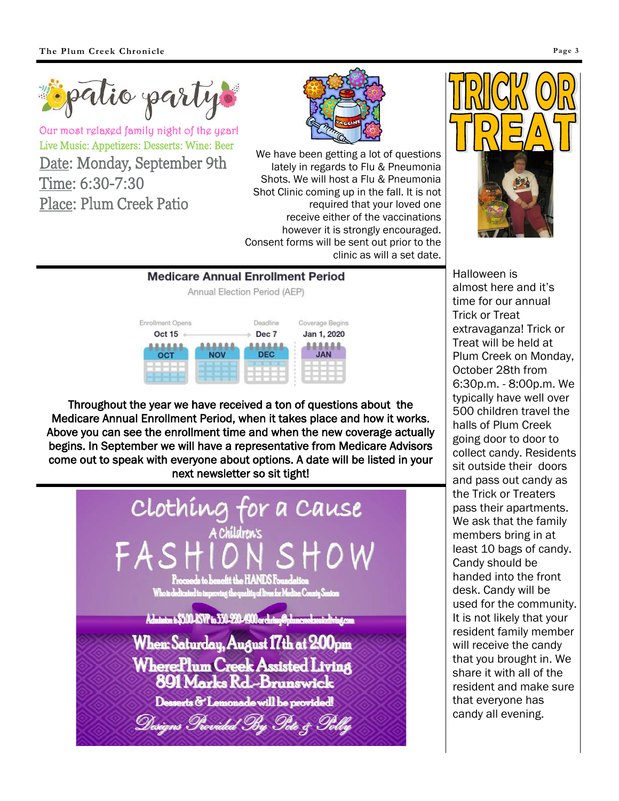

Our most relaxed family night of the year! Live Music: Appetizers: Desserts: Wine: Beer Date: Monday, September 9th Time: 6:30-7:30 Place: Plum Creek Patio



We have been getting a lot of questions lately in regards to Flu & Pneumonia Shots. We will host a Flu & Pneumonia Shot Clinic coming up in the fall. It is not required that your loved one receive either of the vaccinations however it is strongly encouraged. Consent forms will be sent out prior to the clinic as will a set date.





Throughout the year we have received a ton of questions about the Medicare Annual Enrollment Period, when it takes place and how it works. Above you can see the enrollment time and when the new coverage actually begins. In September we will have a representative from Medicare Advisors come out to speak with everyone about options. A date will be listed in your next newsletter so sit tight!



Halloween is almost here and it's time for our annual Trick or Treat extravaganza! Trick or Treat will be held at Plum Creek on Monday, October 28th from 6:30p.m. - 8:00p.m. We typically have well over 500 children travel the halls of Plum Creek going door to door to collect candy. Residents sit outside their doors and pass out candy as the Trick or Treaters pass their apartments. We ask that the family members bring in at least 10 bags of candy. Candy should be handed into the front desk. Candy will be used for the community. It is not likely that your resident family member will receive the candy that you brought in. We share it with all of the resident and make sure that everyone has candy all evening.